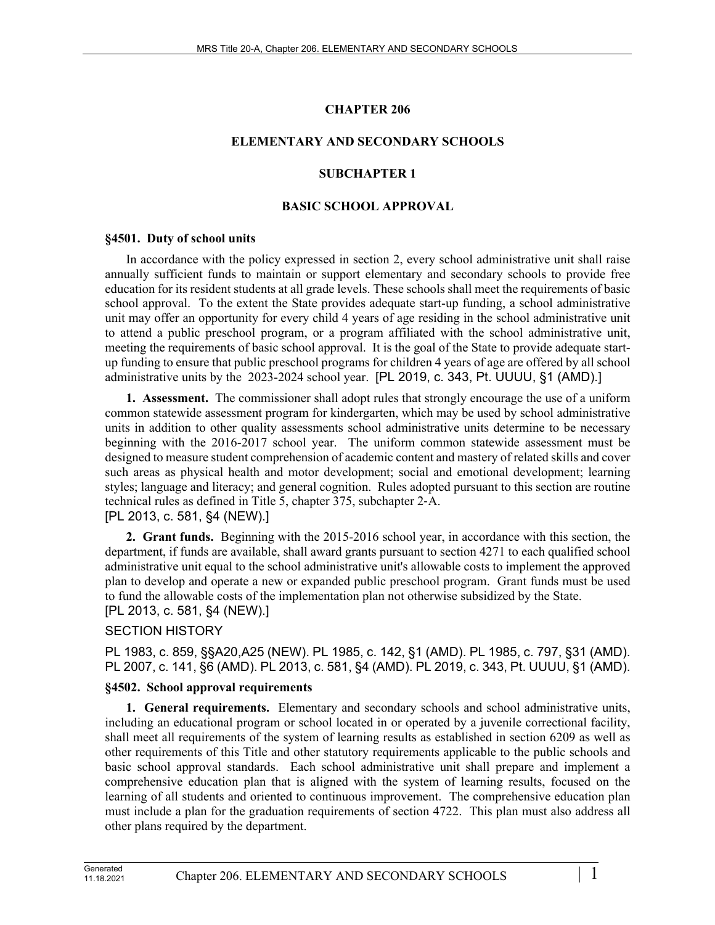## **CHAPTER 206**

## **ELEMENTARY AND SECONDARY SCHOOLS**

## **SUBCHAPTER 1**

### **BASIC SCHOOL APPROVAL**

### **§4501. Duty of school units**

In accordance with the policy expressed in section 2, every school administrative unit shall raise annually sufficient funds to maintain or support elementary and secondary schools to provide free education for its resident students at all grade levels. These schools shall meet the requirements of basic school approval. To the extent the State provides adequate start-up funding, a school administrative unit may offer an opportunity for every child 4 years of age residing in the school administrative unit to attend a public preschool program, or a program affiliated with the school administrative unit, meeting the requirements of basic school approval. It is the goal of the State to provide adequate startup funding to ensure that public preschool programs for children 4 years of age are offered by all school administrative units by the 2023-2024 school year. [PL 2019, c. 343, Pt. UUUU, §1 (AMD).]

**1. Assessment.** The commissioner shall adopt rules that strongly encourage the use of a uniform common statewide assessment program for kindergarten, which may be used by school administrative units in addition to other quality assessments school administrative units determine to be necessary beginning with the 2016-2017 school year. The uniform common statewide assessment must be designed to measure student comprehension of academic content and mastery of related skills and cover such areas as physical health and motor development; social and emotional development; learning styles; language and literacy; and general cognition. Rules adopted pursuant to this section are routine technical rules as defined in Title 5, chapter 375, subchapter 2‑A.

## [PL 2013, c. 581, §4 (NEW).]

**2. Grant funds.** Beginning with the 2015-2016 school year, in accordance with this section, the department, if funds are available, shall award grants pursuant to section 4271 to each qualified school administrative unit equal to the school administrative unit's allowable costs to implement the approved plan to develop and operate a new or expanded public preschool program. Grant funds must be used to fund the allowable costs of the implementation plan not otherwise subsidized by the State. [PL 2013, c. 581, §4 (NEW).]

## SECTION HISTORY

PL 1983, c. 859, §§A20,A25 (NEW). PL 1985, c. 142, §1 (AMD). PL 1985, c. 797, §31 (AMD). PL 2007, c. 141, §6 (AMD). PL 2013, c. 581, §4 (AMD). PL 2019, c. 343, Pt. UUUU, §1 (AMD).

## **§4502. School approval requirements**

**1. General requirements.** Elementary and secondary schools and school administrative units, including an educational program or school located in or operated by a juvenile correctional facility, shall meet all requirements of the system of learning results as established in section 6209 as well as other requirements of this Title and other statutory requirements applicable to the public schools and basic school approval standards. Each school administrative unit shall prepare and implement a comprehensive education plan that is aligned with the system of learning results, focused on the learning of all students and oriented to continuous improvement. The comprehensive education plan must include a plan for the graduation requirements of section 4722. This plan must also address all other plans required by the department.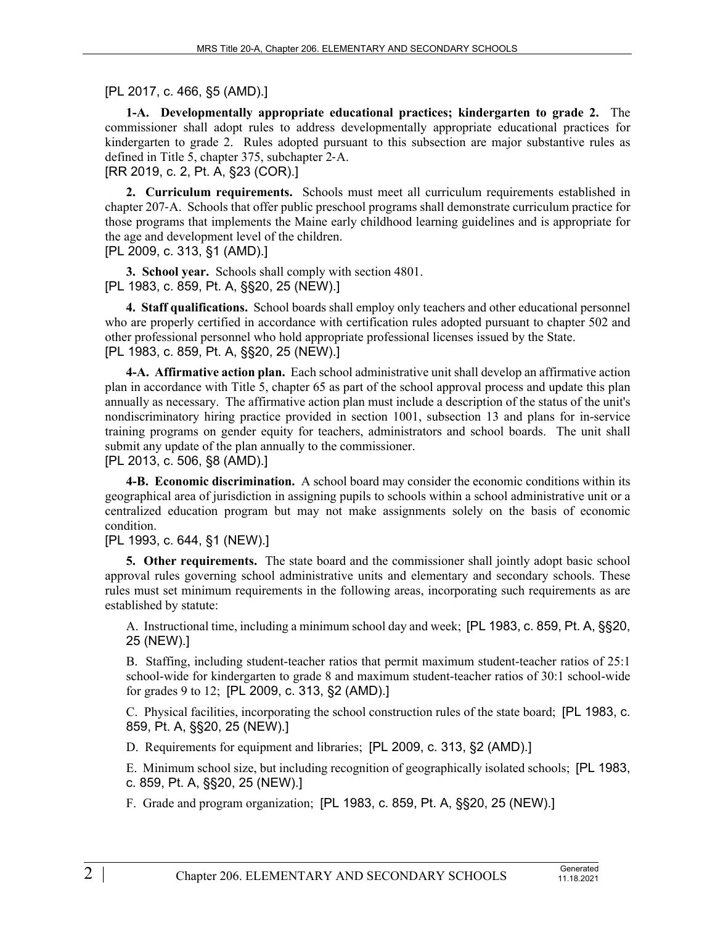## [PL 2017, c. 466, §5 (AMD).]

**1-A. Developmentally appropriate educational practices; kindergarten to grade 2.** The commissioner shall adopt rules to address developmentally appropriate educational practices for kindergarten to grade 2. Rules adopted pursuant to this subsection are major substantive rules as defined in Title 5, chapter 375, subchapter 2‑A.

[RR 2019, c. 2, Pt. A, §23 (COR).]

**2. Curriculum requirements.** Schools must meet all curriculum requirements established in chapter 207‑A. Schools that offer public preschool programs shall demonstrate curriculum practice for those programs that implements the Maine early childhood learning guidelines and is appropriate for the age and development level of the children.

[PL 2009, c. 313, §1 (AMD).]

**3. School year.** Schools shall comply with section 4801. [PL 1983, c. 859, Pt. A, §§20, 25 (NEW).]

**4. Staff qualifications.** School boards shall employ only teachers and other educational personnel who are properly certified in accordance with certification rules adopted pursuant to chapter 502 and other professional personnel who hold appropriate professional licenses issued by the State. [PL 1983, c. 859, Pt. A, §§20, 25 (NEW).]

**4-A. Affirmative action plan.** Each school administrative unit shall develop an affirmative action plan in accordance with Title 5, chapter 65 as part of the school approval process and update this plan annually as necessary. The affirmative action plan must include a description of the status of the unit's nondiscriminatory hiring practice provided in section 1001, subsection 13 and plans for in-service training programs on gender equity for teachers, administrators and school boards. The unit shall submit any update of the plan annually to the commissioner.

[PL 2013, c. 506, §8 (AMD).]

**4-B. Economic discrimination.** A school board may consider the economic conditions within its geographical area of jurisdiction in assigning pupils to schools within a school administrative unit or a centralized education program but may not make assignments solely on the basis of economic condition.

## [PL 1993, c. 644, §1 (NEW).]

**5. Other requirements.** The state board and the commissioner shall jointly adopt basic school approval rules governing school administrative units and elementary and secondary schools. These rules must set minimum requirements in the following areas, incorporating such requirements as are established by statute:

A. Instructional time, including a minimum school day and week; [PL 1983, c. 859, Pt. A, §§20, 25 (NEW).]

B. Staffing, including student-teacher ratios that permit maximum student-teacher ratios of 25:1 school-wide for kindergarten to grade 8 and maximum student-teacher ratios of 30:1 school-wide for grades 9 to 12; [PL 2009, c. 313, §2 (AMD).]

C. Physical facilities, incorporating the school construction rules of the state board; [PL 1983, c. 859, Pt. A, §§20, 25 (NEW).]

D. Requirements for equipment and libraries; [PL 2009, c. 313, §2 (AMD).]

E. Minimum school size, but including recognition of geographically isolated schools; [PL 1983, c. 859, Pt. A, §§20, 25 (NEW).]

11.18.2021

F. Grade and program organization; [PL 1983, c. 859, Pt. A, §§20, 25 (NEW).]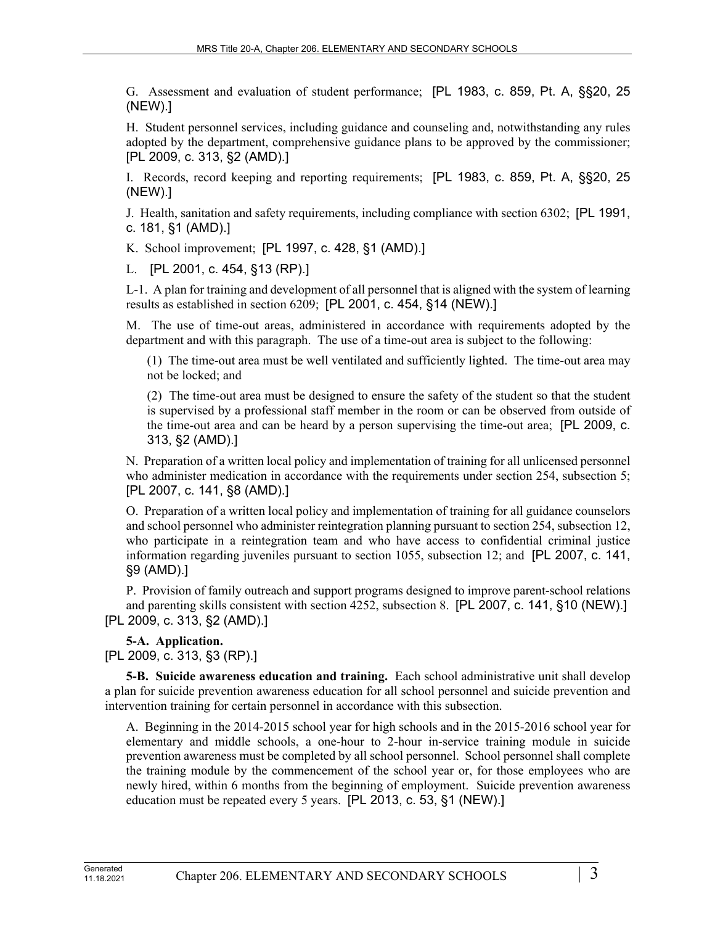G. Assessment and evaluation of student performance; [PL 1983, c. 859, Pt. A, §§20, 25 (NEW).]

H. Student personnel services, including guidance and counseling and, notwithstanding any rules adopted by the department, comprehensive guidance plans to be approved by the commissioner; [PL 2009, c. 313, §2 (AMD).]

I. Records, record keeping and reporting requirements; [PL 1983, c. 859, Pt. A, §§20, 25 (NEW).]

J. Health, sanitation and safety requirements, including compliance with section 6302; [PL 1991, c. 181, §1 (AMD).]

K. School improvement; [PL 1997, c. 428, §1 (AMD).]

L. [PL 2001, c. 454, §13 (RP).]

L-1. A plan for training and development of all personnel that is aligned with the system of learning results as established in section 6209; [PL 2001, c. 454, §14 (NEW).]

M. The use of time-out areas, administered in accordance with requirements adopted by the department and with this paragraph. The use of a time-out area is subject to the following:

(1) The time-out area must be well ventilated and sufficiently lighted. The time-out area may not be locked; and

(2) The time-out area must be designed to ensure the safety of the student so that the student is supervised by a professional staff member in the room or can be observed from outside of the time-out area and can be heard by a person supervising the time-out area; [PL 2009, c. 313, §2 (AMD).]

N. Preparation of a written local policy and implementation of training for all unlicensed personnel who administer medication in accordance with the requirements under section 254, subsection 5; [PL 2007, c. 141, §8 (AMD).]

O. Preparation of a written local policy and implementation of training for all guidance counselors and school personnel who administer reintegration planning pursuant to section 254, subsection 12, who participate in a reintegration team and who have access to confidential criminal justice information regarding juveniles pursuant to section 1055, subsection 12; and [PL 2007, c. 141, §9 (AMD).]

P. Provision of family outreach and support programs designed to improve parent-school relations and parenting skills consistent with section 4252, subsection 8. [PL 2007, c. 141, §10 (NEW).] [PL 2009, c. 313, §2 (AMD).]

# **5-A. Application.**

[PL 2009, c. 313, §3 (RP).]

**5-B. Suicide awareness education and training.** Each school administrative unit shall develop a plan for suicide prevention awareness education for all school personnel and suicide prevention and intervention training for certain personnel in accordance with this subsection.

A. Beginning in the 2014-2015 school year for high schools and in the 2015-2016 school year for elementary and middle schools, a one-hour to 2-hour in-service training module in suicide prevention awareness must be completed by all school personnel. School personnel shall complete the training module by the commencement of the school year or, for those employees who are newly hired, within 6 months from the beginning of employment. Suicide prevention awareness education must be repeated every 5 years. [PL 2013, c. 53, §1 (NEW).]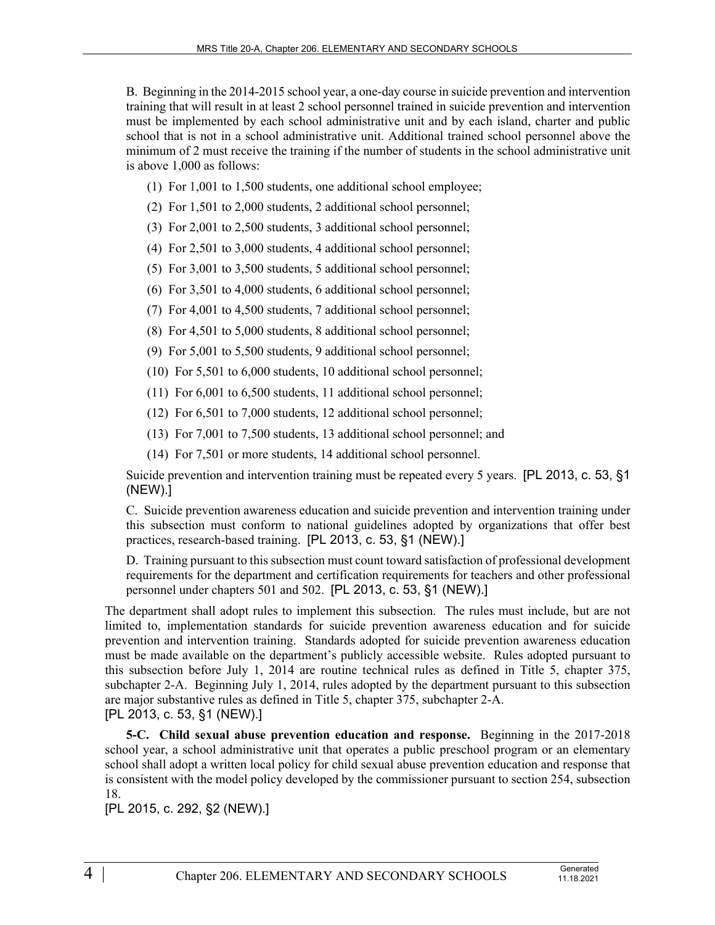B. Beginning in the 2014-2015 school year, a one-day course in suicide prevention and intervention training that will result in at least 2 school personnel trained in suicide prevention and intervention must be implemented by each school administrative unit and by each island, charter and public school that is not in a school administrative unit. Additional trained school personnel above the minimum of 2 must receive the training if the number of students in the school administrative unit is above 1,000 as follows:

- (1) For 1,001 to 1,500 students, one additional school employee;
- (2) For 1,501 to 2,000 students, 2 additional school personnel;
- (3) For 2,001 to 2,500 students, 3 additional school personnel;
- (4) For 2,501 to 3,000 students, 4 additional school personnel;
- (5) For 3,001 to 3,500 students, 5 additional school personnel;
- (6) For 3,501 to 4,000 students, 6 additional school personnel;
- (7) For 4,001 to 4,500 students, 7 additional school personnel;
- (8) For 4,501 to 5,000 students, 8 additional school personnel;
- (9) For 5,001 to 5,500 students, 9 additional school personnel;
- (10) For 5,501 to 6,000 students, 10 additional school personnel;
- (11) For 6,001 to 6,500 students, 11 additional school personnel;
- (12) For 6,501 to 7,000 students, 12 additional school personnel;
- (13) For 7,001 to 7,500 students, 13 additional school personnel; and
- (14) For 7,501 or more students, 14 additional school personnel.

Suicide prevention and intervention training must be repeated every 5 years. [PL 2013, c. 53, §1 (NEW).]

C. Suicide prevention awareness education and suicide prevention and intervention training under this subsection must conform to national guidelines adopted by organizations that offer best practices, research-based training. [PL 2013, c. 53, §1 (NEW).]

D. Training pursuant to this subsection must count toward satisfaction of professional development requirements for the department and certification requirements for teachers and other professional personnel under chapters 501 and 502. [PL 2013, c. 53, §1 (NEW).]

The department shall adopt rules to implement this subsection. The rules must include, but are not limited to, implementation standards for suicide prevention awareness education and for suicide prevention and intervention training. Standards adopted for suicide prevention awareness education must be made available on the department's publicly accessible website. Rules adopted pursuant to this subsection before July 1, 2014 are routine technical rules as defined in Title 5, chapter 375, subchapter 2-A. Beginning July 1, 2014, rules adopted by the department pursuant to this subsection are major substantive rules as defined in Title 5, chapter 375, subchapter 2-A. [PL 2013, c. 53, §1 (NEW).]

**5-C. Child sexual abuse prevention education and response.** Beginning in the 2017-2018 school year, a school administrative unit that operates a public preschool program or an elementary school shall adopt a written local policy for child sexual abuse prevention education and response that is consistent with the model policy developed by the commissioner pursuant to section 254, subsection 18.

[PL 2015, c. 292, §2 (NEW).]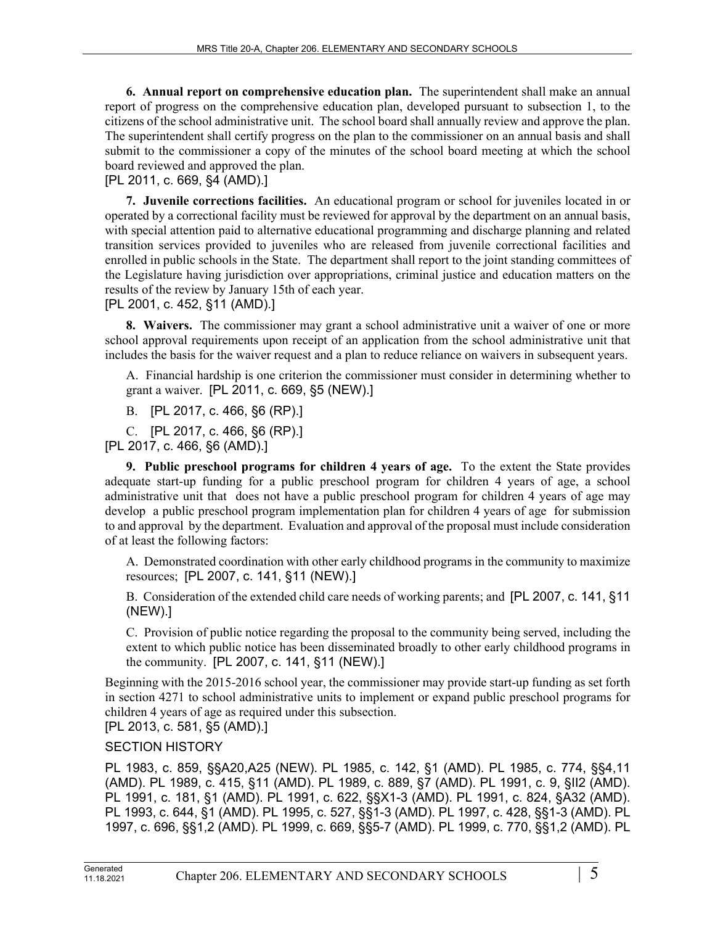**6. Annual report on comprehensive education plan.** The superintendent shall make an annual report of progress on the comprehensive education plan, developed pursuant to subsection 1, to the citizens of the school administrative unit. The school board shall annually review and approve the plan. The superintendent shall certify progress on the plan to the commissioner on an annual basis and shall submit to the commissioner a copy of the minutes of the school board meeting at which the school board reviewed and approved the plan.

## [PL 2011, c. 669, §4 (AMD).]

**7. Juvenile corrections facilities.** An educational program or school for juveniles located in or operated by a correctional facility must be reviewed for approval by the department on an annual basis, with special attention paid to alternative educational programming and discharge planning and related transition services provided to juveniles who are released from juvenile correctional facilities and enrolled in public schools in the State. The department shall report to the joint standing committees of the Legislature having jurisdiction over appropriations, criminal justice and education matters on the results of the review by January 15th of each year.

## [PL 2001, c. 452, §11 (AMD).]

**8. Waivers.** The commissioner may grant a school administrative unit a waiver of one or more school approval requirements upon receipt of an application from the school administrative unit that includes the basis for the waiver request and a plan to reduce reliance on waivers in subsequent years.

A. Financial hardship is one criterion the commissioner must consider in determining whether to grant a waiver. [PL 2011, c. 669, §5 (NEW).]

B. [PL 2017, c. 466, §6 (RP).]

C. [PL 2017, c. 466, §6 (RP).]

[PL 2017, c. 466, §6 (AMD).]

**9. Public preschool programs for children 4 years of age.** To the extent the State provides adequate start-up funding for a public preschool program for children 4 years of age, a school administrative unit that does not have a public preschool program for children 4 years of age may develop a public preschool program implementation plan for children 4 years of age for submission to and approval by the department. Evaluation and approval of the proposal must include consideration of at least the following factors:

A. Demonstrated coordination with other early childhood programs in the community to maximize resources; [PL 2007, c. 141, §11 (NEW).]

B. Consideration of the extended child care needs of working parents; and [PL 2007, c. 141, §11 (NEW).]

C. Provision of public notice regarding the proposal to the community being served, including the extent to which public notice has been disseminated broadly to other early childhood programs in the community. [PL 2007, c. 141, §11 (NEW).]

Beginning with the 2015-2016 school year, the commissioner may provide start-up funding as set forth in section 4271 to school administrative units to implement or expand public preschool programs for children 4 years of age as required under this subsection.

# [PL 2013, c. 581, §5 (AMD).]

## SECTION HISTORY

PL 1983, c. 859, §§A20,A25 (NEW). PL 1985, c. 142, §1 (AMD). PL 1985, c. 774, §§4,11 (AMD). PL 1989, c. 415, §11 (AMD). PL 1989, c. 889, §7 (AMD). PL 1991, c. 9, §II2 (AMD). PL 1991, c. 181, §1 (AMD). PL 1991, c. 622, §§X1-3 (AMD). PL 1991, c. 824, §A32 (AMD). PL 1993, c. 644, §1 (AMD). PL 1995, c. 527, §§1-3 (AMD). PL 1997, c. 428, §§1-3 (AMD). PL 1997, c. 696, §§1,2 (AMD). PL 1999, c. 669, §§5-7 (AMD). PL 1999, c. 770, §§1,2 (AMD). PL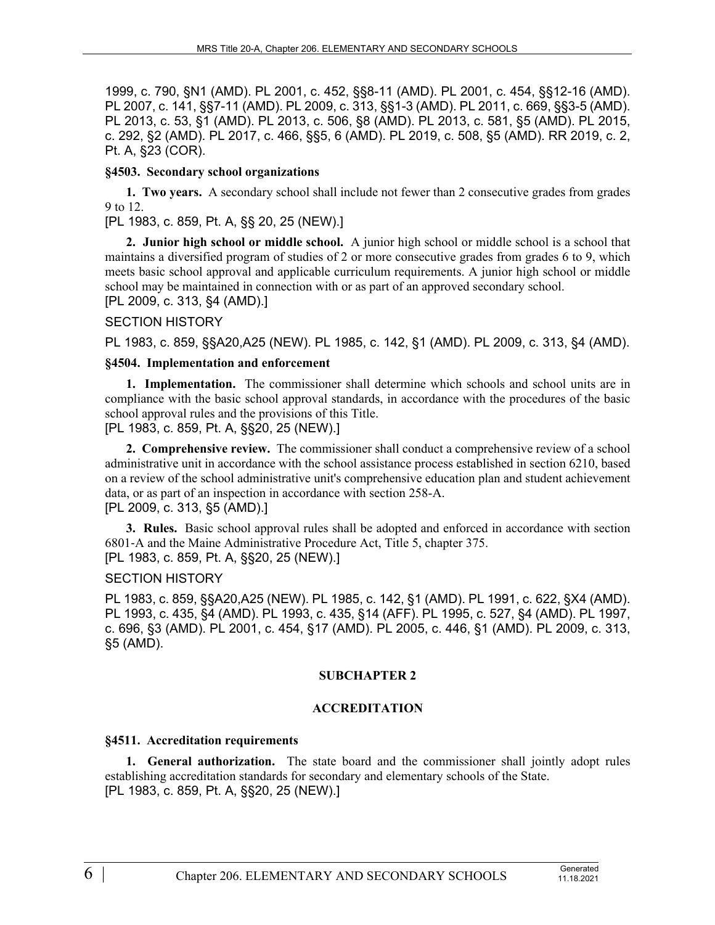1999, c. 790, §N1 (AMD). PL 2001, c. 452, §§8-11 (AMD). PL 2001, c. 454, §§12-16 (AMD). PL 2007, c. 141, §§7-11 (AMD). PL 2009, c. 313, §§1-3 (AMD). PL 2011, c. 669, §§3-5 (AMD). PL 2013, c. 53, §1 (AMD). PL 2013, c. 506, §8 (AMD). PL 2013, c. 581, §5 (AMD). PL 2015, c. 292, §2 (AMD). PL 2017, c. 466, §§5, 6 (AMD). PL 2019, c. 508, §5 (AMD). RR 2019, c. 2, Pt. A, §23 (COR).

### **§4503. Secondary school organizations**

**1. Two years.** A secondary school shall include not fewer than 2 consecutive grades from grades 9 to 12.

[PL 1983, c. 859, Pt. A, §§ 20, 25 (NEW).]

**2. Junior high school or middle school.** A junior high school or middle school is a school that maintains a diversified program of studies of 2 or more consecutive grades from grades 6 to 9, which meets basic school approval and applicable curriculum requirements. A junior high school or middle school may be maintained in connection with or as part of an approved secondary school.

# [PL 2009, c. 313, §4 (AMD).]

#### SECTION HISTORY

PL 1983, c. 859, §§A20,A25 (NEW). PL 1985, c. 142, §1 (AMD). PL 2009, c. 313, §4 (AMD).

## **§4504. Implementation and enforcement**

**1. Implementation.** The commissioner shall determine which schools and school units are in compliance with the basic school approval standards, in accordance with the procedures of the basic school approval rules and the provisions of this Title.

[PL 1983, c. 859, Pt. A, §§20, 25 (NEW).]

**2. Comprehensive review.** The commissioner shall conduct a comprehensive review of a school administrative unit in accordance with the school assistance process established in section 6210, based on a review of the school administrative unit's comprehensive education plan and student achievement data, or as part of an inspection in accordance with section 258-A. [PL 2009, c. 313, §5 (AMD).]

**3. Rules.** Basic school approval rules shall be adopted and enforced in accordance with section 6801‑A and the Maine Administrative Procedure Act, Title 5, chapter 375. [PL 1983, c. 859, Pt. A, §§20, 25 (NEW).]

#### SECTION HISTORY

PL 1983, c. 859, §§A20,A25 (NEW). PL 1985, c. 142, §1 (AMD). PL 1991, c. 622, §X4 (AMD). PL 1993, c. 435, §4 (AMD). PL 1993, c. 435, §14 (AFF). PL 1995, c. 527, §4 (AMD). PL 1997, c. 696, §3 (AMD). PL 2001, c. 454, §17 (AMD). PL 2005, c. 446, §1 (AMD). PL 2009, c. 313, §5 (AMD).

## **SUBCHAPTER 2**

#### **ACCREDITATION**

#### **§4511. Accreditation requirements**

**1. General authorization.** The state board and the commissioner shall jointly adopt rules establishing accreditation standards for secondary and elementary schools of the State. [PL 1983, c. 859, Pt. A, §§20, 25 (NEW).]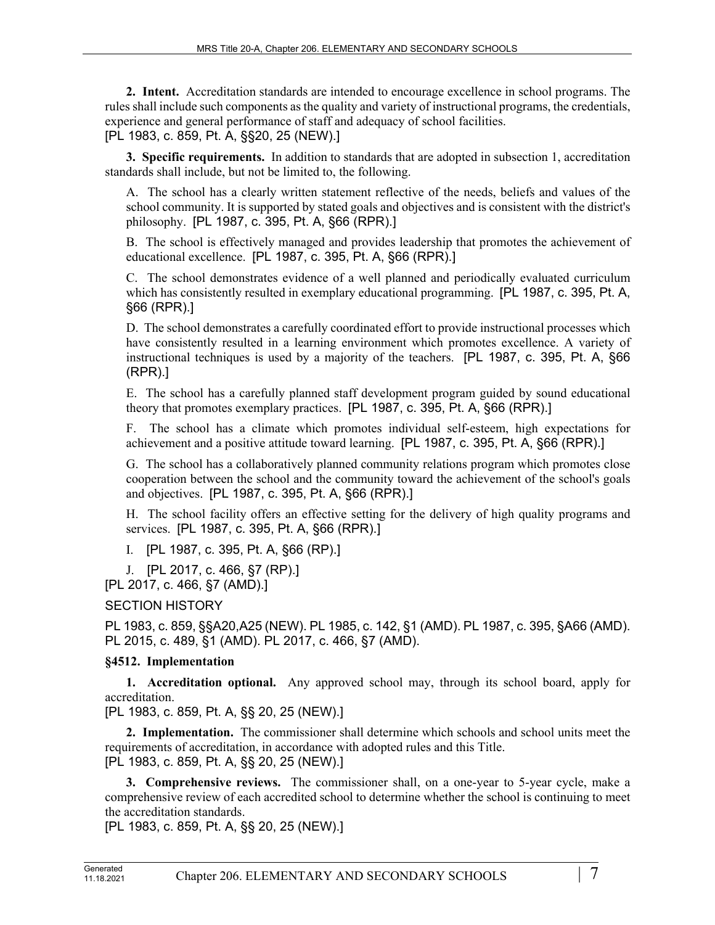**2. Intent.** Accreditation standards are intended to encourage excellence in school programs. The rules shall include such components as the quality and variety of instructional programs, the credentials, experience and general performance of staff and adequacy of school facilities. [PL 1983, c. 859, Pt. A, §§20, 25 (NEW).]

**3. Specific requirements.** In addition to standards that are adopted in subsection 1, accreditation standards shall include, but not be limited to, the following.

A. The school has a clearly written statement reflective of the needs, beliefs and values of the school community. It is supported by stated goals and objectives and is consistent with the district's philosophy. [PL 1987, c. 395, Pt. A, §66 (RPR).]

B. The school is effectively managed and provides leadership that promotes the achievement of educational excellence. [PL 1987, c. 395, Pt. A, §66 (RPR).]

C. The school demonstrates evidence of a well planned and periodically evaluated curriculum which has consistently resulted in exemplary educational programming. [PL 1987, c. 395, Pt. A, §66 (RPR).]

D. The school demonstrates a carefully coordinated effort to provide instructional processes which have consistently resulted in a learning environment which promotes excellence. A variety of instructional techniques is used by a majority of the teachers. [PL 1987, c. 395, Pt. A, §66 (RPR).]

E. The school has a carefully planned staff development program guided by sound educational theory that promotes exemplary practices. [PL 1987, c. 395, Pt. A, §66 (RPR).]

F. The school has a climate which promotes individual self-esteem, high expectations for achievement and a positive attitude toward learning. [PL 1987, c. 395, Pt. A, §66 (RPR).]

G. The school has a collaboratively planned community relations program which promotes close cooperation between the school and the community toward the achievement of the school's goals and objectives. [PL 1987, c. 395, Pt. A, §66 (RPR).]

H. The school facility offers an effective setting for the delivery of high quality programs and services. [PL 1987, c. 395, Pt. A, §66 (RPR).]

I. [PL 1987, c. 395, Pt. A, §66 (RP).]

J. [PL 2017, c. 466, §7 (RP).]

[PL 2017, c. 466, §7 (AMD).]

SECTION HISTORY

PL 1983, c. 859, §§A20,A25 (NEW). PL 1985, c. 142, §1 (AMD). PL 1987, c. 395, §A66 (AMD). PL 2015, c. 489, §1 (AMD). PL 2017, c. 466, §7 (AMD).

# **§4512. Implementation**

**1. Accreditation optional.** Any approved school may, through its school board, apply for accreditation.

[PL 1983, c. 859, Pt. A, §§ 20, 25 (NEW).]

**2. Implementation.** The commissioner shall determine which schools and school units meet the requirements of accreditation, in accordance with adopted rules and this Title. [PL 1983, c. 859, Pt. A, §§ 20, 25 (NEW).]

**3. Comprehensive reviews.** The commissioner shall, on a one-year to 5-year cycle, make a comprehensive review of each accredited school to determine whether the school is continuing to meet the accreditation standards.

[PL 1983, c. 859, Pt. A, §§ 20, 25 (NEW).]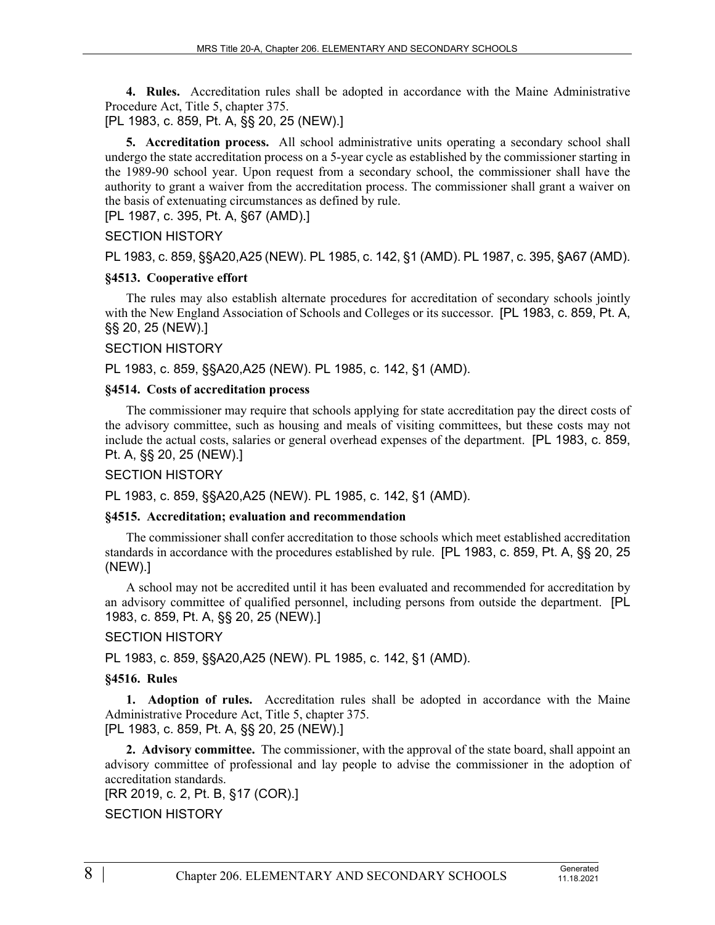**4. Rules.** Accreditation rules shall be adopted in accordance with the Maine Administrative Procedure Act, Title 5, chapter 375.

[PL 1983, c. 859, Pt. A, §§ 20, 25 (NEW).]

**5. Accreditation process.** All school administrative units operating a secondary school shall undergo the state accreditation process on a 5-year cycle as established by the commissioner starting in the 1989-90 school year. Upon request from a secondary school, the commissioner shall have the authority to grant a waiver from the accreditation process. The commissioner shall grant a waiver on the basis of extenuating circumstances as defined by rule.

[PL 1987, c. 395, Pt. A, §67 (AMD).]

## SECTION HISTORY

PL 1983, c. 859, §§A20,A25 (NEW). PL 1985, c. 142, §1 (AMD). PL 1987, c. 395, §A67 (AMD).

#### **§4513. Cooperative effort**

The rules may also establish alternate procedures for accreditation of secondary schools jointly with the New England Association of Schools and Colleges or its successor. [PL 1983, c. 859, Pt. A, §§ 20, 25 (NEW).]

#### SECTION HISTORY

PL 1983, c. 859, §§A20,A25 (NEW). PL 1985, c. 142, §1 (AMD).

## **§4514. Costs of accreditation process**

The commissioner may require that schools applying for state accreditation pay the direct costs of the advisory committee, such as housing and meals of visiting committees, but these costs may not include the actual costs, salaries or general overhead expenses of the department. [PL 1983, c. 859, Pt. A, §§ 20, 25 (NEW).]

## SECTION HISTORY

PL 1983, c. 859, §§A20,A25 (NEW). PL 1985, c. 142, §1 (AMD).

#### **§4515. Accreditation; evaluation and recommendation**

The commissioner shall confer accreditation to those schools which meet established accreditation standards in accordance with the procedures established by rule. [PL 1983, c. 859, Pt. A, §§ 20, 25 (NEW).]

A school may not be accredited until it has been evaluated and recommended for accreditation by an advisory committee of qualified personnel, including persons from outside the department. [PL 1983, c. 859, Pt. A, §§ 20, 25 (NEW).]

## SECTION HISTORY

PL 1983, c. 859, §§A20,A25 (NEW). PL 1985, c. 142, §1 (AMD).

#### **§4516. Rules**

**1. Adoption of rules.** Accreditation rules shall be adopted in accordance with the Maine Administrative Procedure Act, Title 5, chapter 375. [PL 1983, c. 859, Pt. A, §§ 20, 25 (NEW).]

**2. Advisory committee.** The commissioner, with the approval of the state board, shall appoint an advisory committee of professional and lay people to advise the commissioner in the adoption of accreditation standards.

[RR 2019, c. 2, Pt. B, §17 (COR).]

SECTION HISTORY